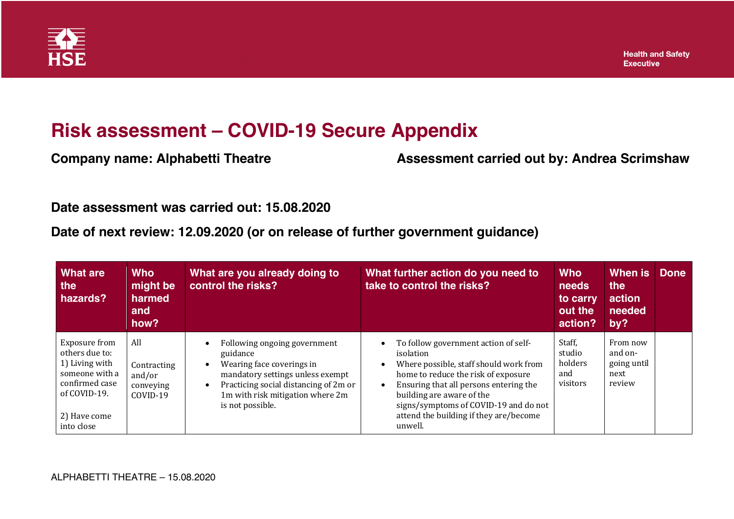

## **Risk assessment – COVID-19 Secure Appendix**

**Company name: Alphabetti Theatre Assessment carried out by: Andrea Scrimshaw** 

**Date assessment was carried out: 15.08.2020**

**Date of next review: 12.09.2020 (or on release of further government guidance)**

| What are<br>the<br>hazards?                                                                                                         | <b>Who</b><br>might be<br>harmed<br>and<br>how?         | What are you already doing to<br>control the risks?                                                                                                                                                        | What further action do you need to<br>take to control the risks?                                                                                                                                                                                                                                                                  | <b>Who</b><br>needs<br>to carry<br>out the<br>action? | When is<br>the<br>action<br>needed<br>by?            | <b>Done</b> |
|-------------------------------------------------------------------------------------------------------------------------------------|---------------------------------------------------------|------------------------------------------------------------------------------------------------------------------------------------------------------------------------------------------------------------|-----------------------------------------------------------------------------------------------------------------------------------------------------------------------------------------------------------------------------------------------------------------------------------------------------------------------------------|-------------------------------------------------------|------------------------------------------------------|-------------|
| Exposure from<br>others due to:<br>1) Living with<br>someone with a<br>confirmed case<br>of COVID-19.<br>2) Have come<br>into close | All<br>Contracting<br>and/or<br>conveying<br>$COVID-19$ | Following ongoing government<br>guidance<br>Wearing face coverings in<br>mandatory settings unless exempt<br>Practicing social distancing of 2m or<br>1m with risk mitigation where 2m<br>is not possible. | To follow government action of self-<br>isolation<br>Where possible, staff should work from<br>$\bullet$<br>home to reduce the risk of exposure<br>Ensuring that all persons entering the<br>$\bullet$<br>building are aware of the<br>signs/symptoms of COVID-19 and do not<br>attend the building if they are/become<br>unwell. | Staff,<br>studio<br>holders<br>and<br>visitors        | From now<br>and on-<br>going until<br>next<br>review |             |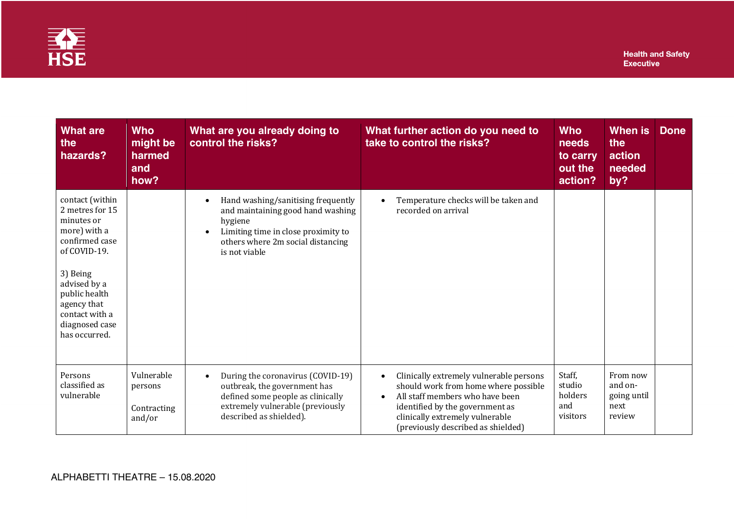

| <b>What are</b><br>the<br>hazards?                                                                                                                                                                                  | <b>Who</b><br>might be<br>harmed<br>and<br>how? | What are you already doing to<br>control the risks?                                                                                                                             | What further action do you need to<br>take to control the risks?                                                                                                                                                                                         | <b>Who</b><br>needs<br>to carry<br>out the<br>action? | When is<br>the<br>action<br>needed<br>by?            | <b>Done</b> |
|---------------------------------------------------------------------------------------------------------------------------------------------------------------------------------------------------------------------|-------------------------------------------------|---------------------------------------------------------------------------------------------------------------------------------------------------------------------------------|----------------------------------------------------------------------------------------------------------------------------------------------------------------------------------------------------------------------------------------------------------|-------------------------------------------------------|------------------------------------------------------|-------------|
| contact (within<br>2 metres for 15<br>minutes or<br>more) with a<br>confirmed case<br>of COVID-19.<br>3) Being<br>advised by a<br>public health<br>agency that<br>contact with a<br>diagnosed case<br>has occurred. |                                                 | Hand washing/sanitising frequently<br>and maintaining good hand washing<br>hygiene<br>Limiting time in close proximity to<br>others where 2m social distancing<br>is not viable | Temperature checks will be taken and<br>$\bullet$<br>recorded on arrival                                                                                                                                                                                 |                                                       |                                                      |             |
| Persons<br>classified as<br>vulnerable                                                                                                                                                                              | Vulnerable<br>persons<br>Contracting<br>and/or  | During the coronavirus (COVID-19)<br>outbreak, the government has<br>defined some people as clinically<br>extremely vulnerable (previously<br>described as shielded).           | Clinically extremely vulnerable persons<br>$\bullet$<br>should work from home where possible<br>All staff members who have been<br>$\bullet$<br>identified by the government as<br>clinically extremely vulnerable<br>(previously described as shielded) | Staff,<br>studio<br>holders<br>and<br>visitors        | From now<br>and on-<br>going until<br>next<br>review |             |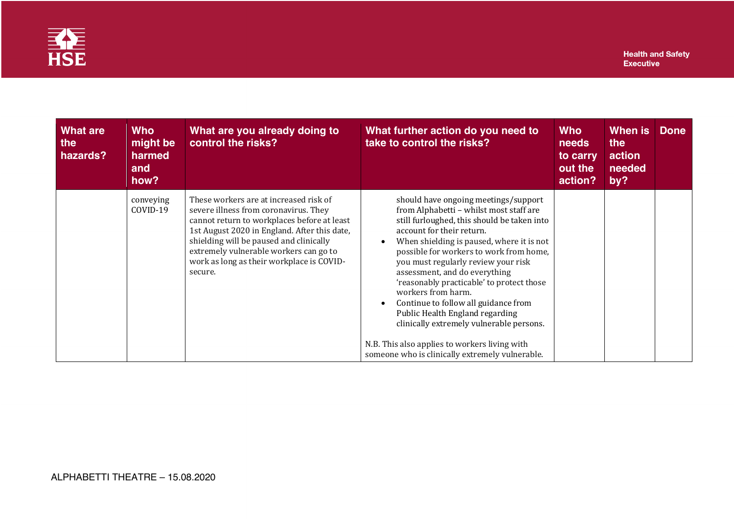

| <b>What are</b><br>the<br>hazards? | <b>Who</b><br>might be<br>harmed<br>and<br>how? | What are you already doing to<br>control the risks?                                                                                                                                                                                                                                                                         | What further action do you need to<br>take to control the risks?                                                                                                                                                                                                                                                                                                                                                                                                                                                                                                                                                                                    | <b>Who</b><br>needs<br>to carry<br>out the<br>action? | When is<br><b>the</b><br>action<br>needed<br>by? | <b>Done</b> |
|------------------------------------|-------------------------------------------------|-----------------------------------------------------------------------------------------------------------------------------------------------------------------------------------------------------------------------------------------------------------------------------------------------------------------------------|-----------------------------------------------------------------------------------------------------------------------------------------------------------------------------------------------------------------------------------------------------------------------------------------------------------------------------------------------------------------------------------------------------------------------------------------------------------------------------------------------------------------------------------------------------------------------------------------------------------------------------------------------------|-------------------------------------------------------|--------------------------------------------------|-------------|
|                                    | conveying<br>COVID-19                           | These workers are at increased risk of<br>severe illness from coronavirus. They<br>cannot return to workplaces before at least<br>1st August 2020 in England. After this date,<br>shielding will be paused and clinically<br>extremely vulnerable workers can go to<br>work as long as their workplace is COVID-<br>secure. | should have ongoing meetings/support<br>from Alphabetti - whilst most staff are<br>still furloughed, this should be taken into<br>account for their return.<br>When shielding is paused, where it is not<br>$\bullet$<br>possible for workers to work from home,<br>you must regularly review your risk<br>assessment, and do everything<br>'reasonably practicable' to protect those<br>workers from harm.<br>Continue to follow all guidance from<br>$\bullet$<br>Public Health England regarding<br>clinically extremely vulnerable persons.<br>N.B. This also applies to workers living with<br>someone who is clinically extremely vulnerable. |                                                       |                                                  |             |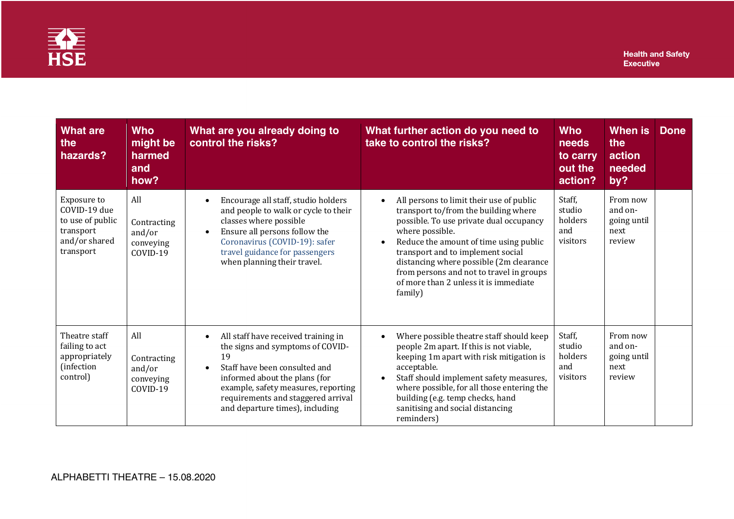

| <b>What are</b><br>the<br>hazards?                                                         | <b>Who</b><br>might be<br>harmed<br>and<br>how?       | What are you already doing to<br>control the risks?                                                                                                                                                                                                             | What further action do you need to<br>take to control the risks?                                                                                                                                                                                                                                                                                                                                   | <b>Who</b><br>needs<br>to carry<br>out the<br>action? | <b>When</b> is<br>the<br>action<br>needed<br>by?     | <b>Done</b> |
|--------------------------------------------------------------------------------------------|-------------------------------------------------------|-----------------------------------------------------------------------------------------------------------------------------------------------------------------------------------------------------------------------------------------------------------------|----------------------------------------------------------------------------------------------------------------------------------------------------------------------------------------------------------------------------------------------------------------------------------------------------------------------------------------------------------------------------------------------------|-------------------------------------------------------|------------------------------------------------------|-------------|
| Exposure to<br>COVID-19 due<br>to use of public<br>transport<br>and/or shared<br>transport | All<br>Contracting<br>and/or<br>conveying<br>COVID-19 | Encourage all staff, studio holders<br>and people to walk or cycle to their<br>classes where possible<br>Ensure all persons follow the<br>Coronavirus (COVID-19): safer<br>travel guidance for passengers<br>when planning their travel.                        | All persons to limit their use of public<br>$\bullet$<br>transport to/from the building where<br>possible. To use private dual occupancy<br>where possible.<br>Reduce the amount of time using public<br>$\bullet$<br>transport and to implement social<br>distancing where possible (2m clearance<br>from persons and not to travel in groups<br>of more than 2 unless it is immediate<br>family) | Staff,<br>studio<br>holders<br>and<br>visitors        | From now<br>and on-<br>going until<br>next<br>review |             |
| Theatre staff<br>failing to act<br>appropriately<br>(infection<br>control)                 | All<br>Contracting<br>and/or<br>conveying<br>COVID-19 | All staff have received training in<br>the signs and symptoms of COVID-<br>19<br>Staff have been consulted and<br>informed about the plans (for<br>example, safety measures, reporting<br>requirements and staggered arrival<br>and departure times), including | Where possible theatre staff should keep<br>$\bullet$<br>people 2m apart. If this is not viable,<br>keeping 1m apart with risk mitigation is<br>acceptable.<br>Staff should implement safety measures,<br>$\bullet$<br>where possible, for all those entering the<br>building (e.g. temp checks, hand<br>sanitising and social distancing<br>reminders)                                            | Staff,<br>studio<br>holders<br>and<br>visitors        | From now<br>and on-<br>going until<br>next<br>review |             |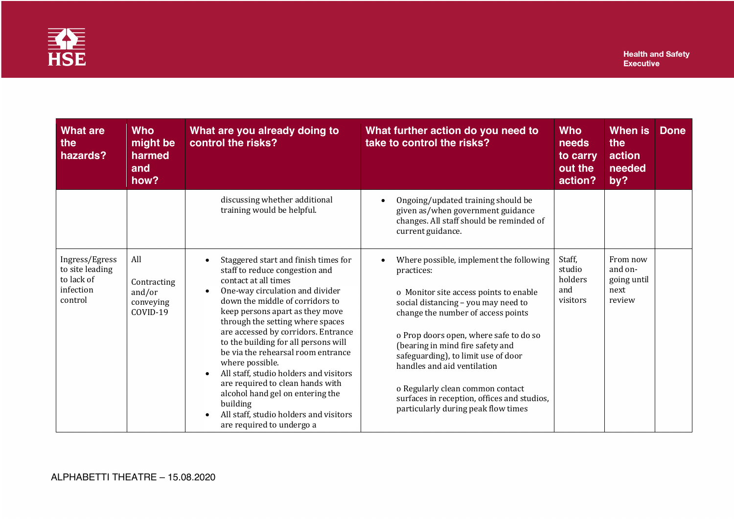

| <b>What are</b><br>the<br>hazards?                                      | <b>Who</b><br>might be<br>harmed<br>and<br>how?       | What are you already doing to<br>control the risks?                                                                                                                                                                                                                                                                                                                                                                                                                                                                                                                                      | What further action do you need to<br>take to control the risks?                                                                                                                                                                                                                                                                                                                                                                                                        | <b>Who</b><br>needs<br>to carry<br>out the<br>action? | <b>When is</b><br>the<br>action<br>needed<br>by?     | <b>Done</b> |
|-------------------------------------------------------------------------|-------------------------------------------------------|------------------------------------------------------------------------------------------------------------------------------------------------------------------------------------------------------------------------------------------------------------------------------------------------------------------------------------------------------------------------------------------------------------------------------------------------------------------------------------------------------------------------------------------------------------------------------------------|-------------------------------------------------------------------------------------------------------------------------------------------------------------------------------------------------------------------------------------------------------------------------------------------------------------------------------------------------------------------------------------------------------------------------------------------------------------------------|-------------------------------------------------------|------------------------------------------------------|-------------|
|                                                                         |                                                       | discussing whether additional<br>training would be helpful.                                                                                                                                                                                                                                                                                                                                                                                                                                                                                                                              | Ongoing/updated training should be<br>$\bullet$<br>given as/when government guidance<br>changes. All staff should be reminded of<br>current guidance.                                                                                                                                                                                                                                                                                                                   |                                                       |                                                      |             |
| Ingress/Egress<br>to site leading<br>to lack of<br>infection<br>control | All<br>Contracting<br>and/or<br>conveying<br>COVID-19 | Staggered start and finish times for<br>staff to reduce congestion and<br>contact at all times<br>One-way circulation and divider<br>down the middle of corridors to<br>keep persons apart as they move<br>through the setting where spaces<br>are accessed by corridors. Entrance<br>to the building for all persons will<br>be via the rehearsal room entrance<br>where possible.<br>All staff, studio holders and visitors<br>are required to clean hands with<br>alcohol hand gel on entering the<br>building<br>All staff, studio holders and visitors<br>are required to undergo a | Where possible, implement the following<br>$\bullet$<br>practices:<br>o Monitor site access points to enable<br>social distancing - you may need to<br>change the number of access points<br>o Prop doors open, where safe to do so<br>(bearing in mind fire safety and<br>safeguarding), to limit use of door<br>handles and aid ventilation<br>o Regularly clean common contact<br>surfaces in reception, offices and studios,<br>particularly during peak flow times | Staff,<br>studio<br>holders<br>and<br>visitors        | From now<br>and on-<br>going until<br>next<br>review |             |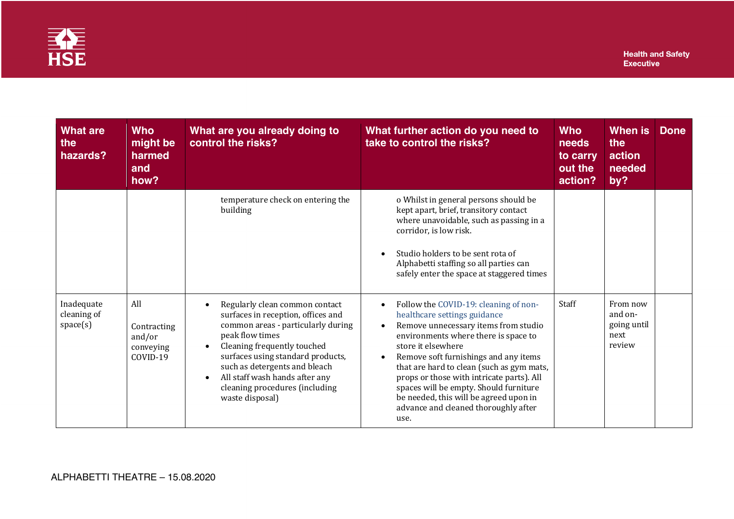

| <b>What are</b><br>the<br>hazards?    | <b>Who</b><br>might be<br>harmed<br>and<br>how?       | What are you already doing to<br>control the risks?                                                                                                                                                                                                                                                                                    | What further action do you need to<br>take to control the risks?                                                                                                                                                                                                                                                                                                                                                                                                             | <b>Who</b><br>needs<br>to carry<br>out the<br>action? | <b>When</b> is<br>the<br>action<br>needed<br>by?     | <b>Done</b> |
|---------------------------------------|-------------------------------------------------------|----------------------------------------------------------------------------------------------------------------------------------------------------------------------------------------------------------------------------------------------------------------------------------------------------------------------------------------|------------------------------------------------------------------------------------------------------------------------------------------------------------------------------------------------------------------------------------------------------------------------------------------------------------------------------------------------------------------------------------------------------------------------------------------------------------------------------|-------------------------------------------------------|------------------------------------------------------|-------------|
|                                       |                                                       | temperature check on entering the<br>building                                                                                                                                                                                                                                                                                          | o Whilst in general persons should be<br>kept apart, brief, transitory contact<br>where unavoidable, such as passing in a<br>corridor, is low risk.<br>Studio holders to be sent rota of<br>$\bullet$<br>Alphabetti staffing so all parties can<br>safely enter the space at staggered times                                                                                                                                                                                 |                                                       |                                                      |             |
| Inadequate<br>cleaning of<br>space(s) | All<br>Contracting<br>and/or<br>conveying<br>COVID-19 | Regularly clean common contact<br>surfaces in reception, offices and<br>common areas - particularly during<br>peak flow times<br>Cleaning frequently touched<br>surfaces using standard products,<br>such as detergents and bleach<br>All staff wash hands after any<br>$\bullet$<br>cleaning procedures (including<br>waste disposal) | Follow the COVID-19: cleaning of non-<br>$\bullet$<br>healthcare settings guidance<br>Remove unnecessary items from studio<br>environments where there is space to<br>store it elsewhere<br>Remove soft furnishings and any items<br>$\bullet$<br>that are hard to clean (such as gym mats,<br>props or those with intricate parts). All<br>spaces will be empty. Should furniture<br>be needed, this will be agreed upon in<br>advance and cleaned thoroughly after<br>use. | Staff                                                 | From now<br>and on-<br>going until<br>next<br>review |             |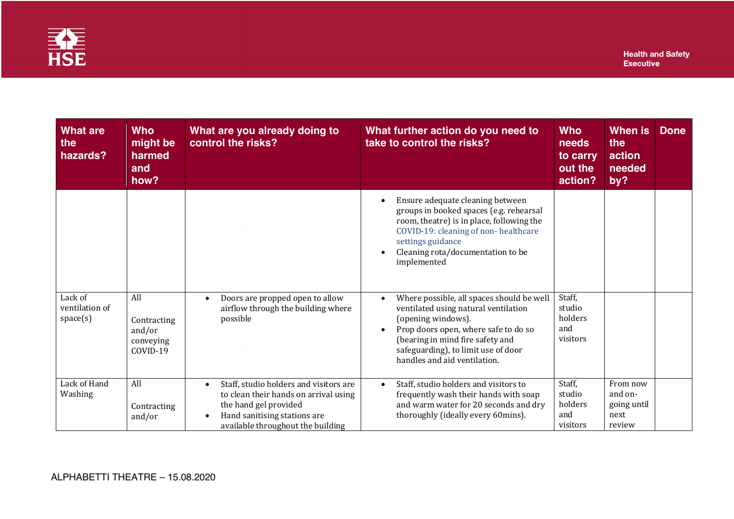

| <b>What are</b><br>the<br>hazards?    | <b>Who</b><br>might be<br>harmed<br>and<br>how?       | What are you already doing to<br>control the risks?                                                                                                                           | What further action do you need to<br>take to control the risks?                                                                                                                                                                                                        | <b>Who</b><br>needs<br>to carry<br>out the<br>action? | <b>When</b> is<br>the<br>action<br>needed<br>by?     | <b>Done</b> |
|---------------------------------------|-------------------------------------------------------|-------------------------------------------------------------------------------------------------------------------------------------------------------------------------------|-------------------------------------------------------------------------------------------------------------------------------------------------------------------------------------------------------------------------------------------------------------------------|-------------------------------------------------------|------------------------------------------------------|-------------|
|                                       |                                                       |                                                                                                                                                                               | Ensure adequate cleaning between<br>$\bullet$<br>groups in booked spaces (e.g. rehearsal<br>room, theatre) is in place, following the<br>COVID-19: cleaning of non-healthcare<br>settings guidance<br>Cleaning rota/documentation to be<br>$\bullet$<br>implemented     |                                                       |                                                      |             |
| Lack of<br>ventilation of<br>space(s) | All<br>Contracting<br>and/or<br>conveying<br>COVID-19 | Doors are propped open to allow<br>airflow through the building where<br>possible                                                                                             | Where possible, all spaces should be well<br>ventilated using natural ventilation<br>(opening windows).<br>Prop doors open, where safe to do so<br>$\bullet$<br>(bearing in mind fire safety and<br>safeguarding), to limit use of door<br>handles and aid ventilation. | Staff,<br>studio<br>holders<br>and<br>visitors        |                                                      |             |
| Lack of Hand<br>Washing               | All<br>Contracting<br>and/or                          | Staff, studio holders and visitors are<br>to clean their hands on arrival using<br>the hand gel provided<br>Hand sanitising stations are<br>available throughout the building | Staff, studio holders and visitors to<br>$\bullet$<br>frequently wash their hands with soap<br>and warm water for 20 seconds and dry<br>thoroughly (ideally every 60mins).                                                                                              | Staff,<br>studio<br>holders<br>and<br>visitors        | From now<br>and on-<br>going until<br>next<br>review |             |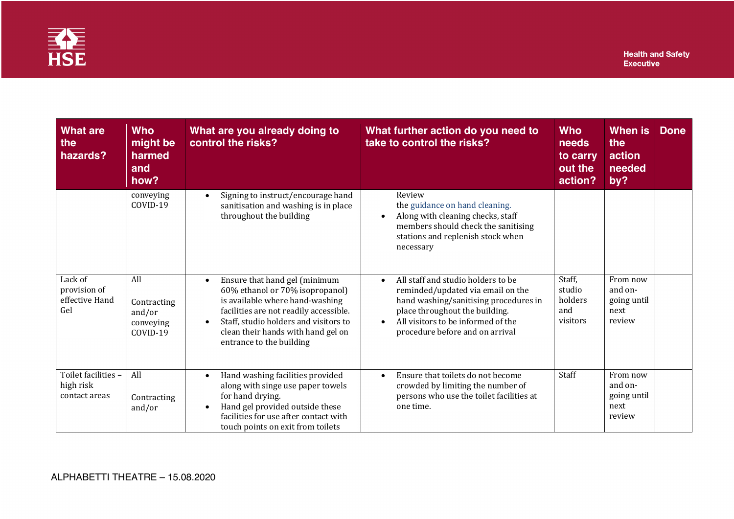

| <b>What are</b><br>the<br>hazards?                | <b>Who</b><br>might be<br>harmed<br>and<br>how?       | What are you already doing to<br>control the risks?                                                                                                                                                                                                      | What further action do you need to<br>take to control the risks?                                                                                                                                                                                      | <b>Who</b><br>needs<br>to carry<br>out the<br>action? | <b>When</b> is<br>the<br>action<br>needed<br>by?     | <b>Done</b> |
|---------------------------------------------------|-------------------------------------------------------|----------------------------------------------------------------------------------------------------------------------------------------------------------------------------------------------------------------------------------------------------------|-------------------------------------------------------------------------------------------------------------------------------------------------------------------------------------------------------------------------------------------------------|-------------------------------------------------------|------------------------------------------------------|-------------|
|                                                   | conveying<br>COVID-19                                 | Signing to instruct/encourage hand<br>sanitisation and washing is in place<br>throughout the building                                                                                                                                                    | Review<br>the guidance on hand cleaning.<br>Along with cleaning checks, staff<br>$\bullet$<br>members should check the sanitising<br>stations and replenish stock when<br>necessary                                                                   |                                                       |                                                      |             |
| Lack of<br>provision of<br>effective Hand<br>Gel  | All<br>Contracting<br>and/or<br>conveying<br>COVID-19 | Ensure that hand gel (minimum<br>60% ethanol or 70% isopropanol)<br>is available where hand-washing<br>facilities are not readily accessible.<br>Staff, studio holders and visitors to<br>clean their hands with hand gel on<br>entrance to the building | All staff and studio holders to be<br>$\bullet$<br>reminded/updated via email on the<br>hand washing/sanitising procedures in<br>place throughout the building.<br>All visitors to be informed of the<br>$\bullet$<br>procedure before and on arrival | Staff,<br>studio<br>holders<br>and<br>visitors        | From now<br>and on-<br>going until<br>next<br>review |             |
| Toilet facilities -<br>high risk<br>contact areas | All<br>Contracting<br>and/or                          | Hand washing facilities provided<br>along with singe use paper towels<br>for hand drying.<br>Hand gel provided outside these<br>facilities for use after contact with<br>touch points on exit from toilets                                               | Ensure that toilets do not become<br>$\bullet$<br>crowded by limiting the number of<br>persons who use the toilet facilities at<br>one time.                                                                                                          | Staff                                                 | From now<br>and on-<br>going until<br>next<br>review |             |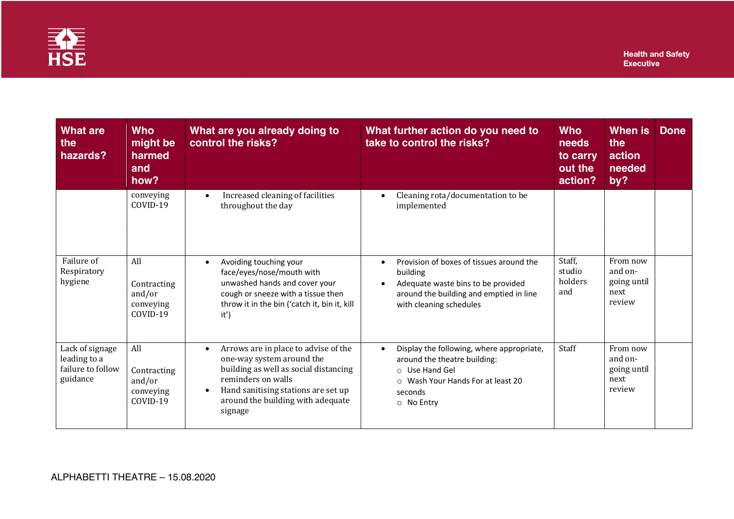

| <b>What are</b><br>the<br>hazards?                               | <b>Who</b><br>might be<br>harmed<br>and<br>how?       | What are you already doing to<br>control the risks?                                                                                                                                                                     | What further action do you need to<br>take to control the risks?                                                                                                                           | <b>Who</b><br>needs<br>to carry<br>out the<br>action? | <b>When</b> is<br>the<br>action<br>needed<br>by?     | <b>Done</b> |
|------------------------------------------------------------------|-------------------------------------------------------|-------------------------------------------------------------------------------------------------------------------------------------------------------------------------------------------------------------------------|--------------------------------------------------------------------------------------------------------------------------------------------------------------------------------------------|-------------------------------------------------------|------------------------------------------------------|-------------|
|                                                                  | conveying<br>COVID-19                                 | Increased cleaning of facilities<br>throughout the day                                                                                                                                                                  | Cleaning rota/documentation to be<br>$\bullet$<br>implemented                                                                                                                              |                                                       |                                                      |             |
| Failure of<br>Respiratory<br>hygiene                             | All<br>Contracting<br>and/or<br>conveying<br>COVID-19 | Avoiding touching your<br>face/eyes/nose/mouth with<br>unwashed hands and cover your<br>cough or sneeze with a tissue then<br>throw it in the bin ('catch it, bin it, kill<br>it')                                      | Provision of boxes of tissues around the<br>$\bullet$<br>building<br>Adequate waste bins to be provided<br>$\bullet$<br>around the building and emptied in line<br>with cleaning schedules | Staff,<br>studio<br>holders<br>and                    | From now<br>and on-<br>going until<br>next<br>review |             |
| Lack of signage<br>leading to a<br>failure to follow<br>guidance | All<br>Contracting<br>and/or<br>conveying<br>COVID-19 | Arrows are in place to advise of the<br>one-way system around the<br>building as well as social distancing<br>reminders on walls<br>Hand sanitising stations are set up<br>around the building with adequate<br>signage | Display the following, where appropriate,<br>$\bullet$<br>around the theatre building:<br>o Use Hand Gel<br>$\circ$ Wash Your Hands For at least 20<br>seconds<br>o No Entry               | Staff                                                 | From now<br>and on-<br>going until<br>next<br>review |             |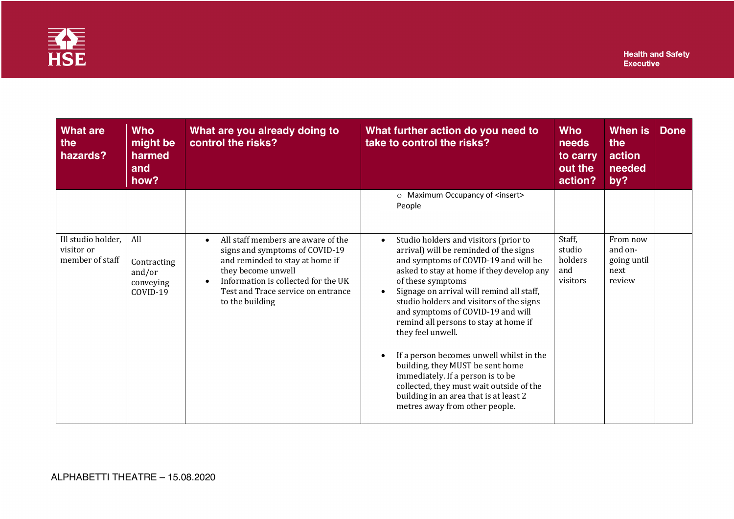

| <b>What are</b><br>the<br>hazards?                  | <b>Who</b><br>might be<br>harmed<br>and<br>how?       | What are you already doing to<br>control the risks?                                                                                                                                                                           | What further action do you need to<br>take to control the risks?                                                                                                                                                                                                                                                                                                                                                                                                                                                                                                                                                                                                          | <b>Who</b><br>needs<br>to carry<br>out the<br>action? | When is<br>the<br>action<br>needed<br>by?            | <b>Done</b> |
|-----------------------------------------------------|-------------------------------------------------------|-------------------------------------------------------------------------------------------------------------------------------------------------------------------------------------------------------------------------------|---------------------------------------------------------------------------------------------------------------------------------------------------------------------------------------------------------------------------------------------------------------------------------------------------------------------------------------------------------------------------------------------------------------------------------------------------------------------------------------------------------------------------------------------------------------------------------------------------------------------------------------------------------------------------|-------------------------------------------------------|------------------------------------------------------|-------------|
|                                                     |                                                       |                                                                                                                                                                                                                               | o Maximum Occupancy of <insert><br/>People</insert>                                                                                                                                                                                                                                                                                                                                                                                                                                                                                                                                                                                                                       |                                                       |                                                      |             |
| Ill studio holder,<br>visitor or<br>member of staff | All<br>Contracting<br>and/or<br>conveying<br>COVID-19 | All staff members are aware of the<br>signs and symptoms of COVID-19<br>and reminded to stay at home if<br>they become unwell<br>Information is collected for the UK<br>Test and Trace service on entrance<br>to the building | Studio holders and visitors (prior to<br>$\bullet$<br>arrival) will be reminded of the signs<br>and symptoms of COVID-19 and will be<br>asked to stay at home if they develop any<br>of these symptoms<br>Signage on arrival will remind all staff,<br>$\bullet$<br>studio holders and visitors of the signs<br>and symptoms of COVID-19 and will<br>remind all persons to stay at home if<br>they feel unwell.<br>If a person becomes unwell whilst in the<br>$\bullet$<br>building, they MUST be sent home<br>immediately. If a person is to be<br>collected, they must wait outside of the<br>building in an area that is at least 2<br>metres away from other people. | Staff,<br>studio<br>holders<br>and<br>visitors        | From now<br>and on-<br>going until<br>next<br>review |             |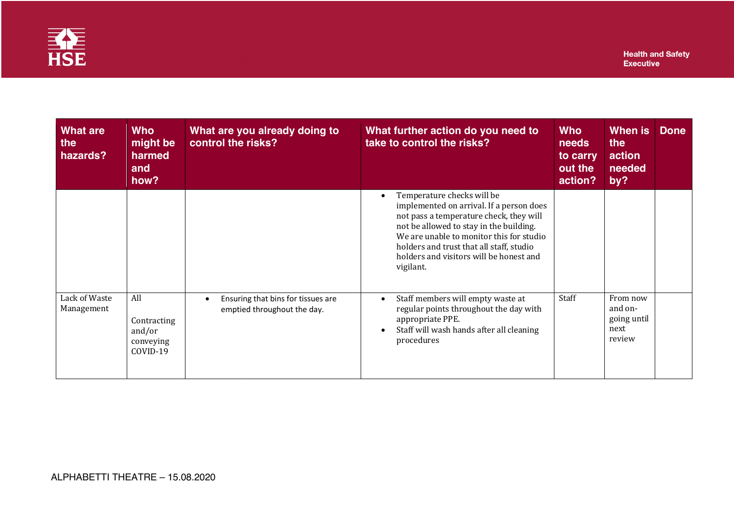

| What are<br>the<br>hazards? | <b>Who</b><br>might be<br>harmed<br>and<br>how?       | What are you already doing to<br>control the risks?               | What further action do you need to<br>take to control the risks?                                                                                                                                                                                                                                                          | <b>Who</b><br>needs<br>to carry<br>out the<br>action? | When is<br>the<br>action<br>needed<br>by?            | <b>Done</b> |
|-----------------------------|-------------------------------------------------------|-------------------------------------------------------------------|---------------------------------------------------------------------------------------------------------------------------------------------------------------------------------------------------------------------------------------------------------------------------------------------------------------------------|-------------------------------------------------------|------------------------------------------------------|-------------|
|                             |                                                       |                                                                   | Temperature checks will be<br>$\bullet$<br>implemented on arrival. If a person does<br>not pass a temperature check, they will<br>not be allowed to stay in the building.<br>We are unable to monitor this for studio<br>holders and trust that all staff, studio<br>holders and visitors will be honest and<br>vigilant. |                                                       |                                                      |             |
| Lack of Waste<br>Management | All<br>Contracting<br>and/or<br>conveying<br>COVID-19 | Ensuring that bins for tissues are<br>emptied throughout the day. | Staff members will empty waste at<br>$\bullet$<br>regular points throughout the day with<br>appropriate PPE.<br>Staff will wash hands after all cleaning<br>$\bullet$<br>procedures                                                                                                                                       | Staff                                                 | From now<br>and on-<br>going until<br>next<br>review |             |